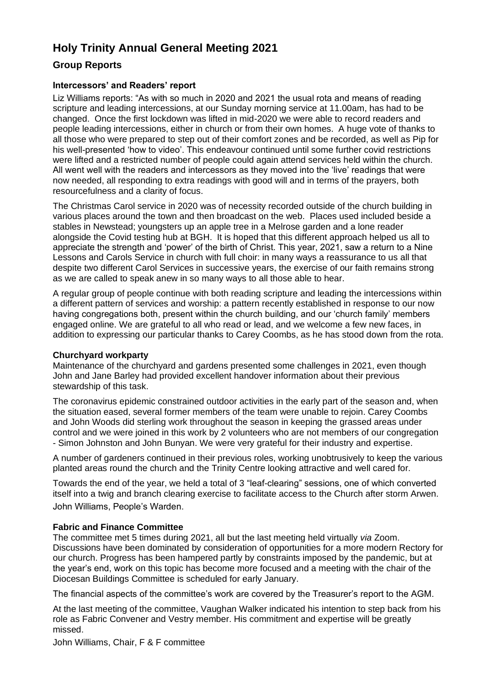# **Holy Trinity Annual General Meeting 2021**

## **Group Reports**

#### **Intercessors' and Readers' report**

Liz Williams reports: "As with so much in 2020 and 2021 the usual rota and means of reading scripture and leading intercessions, at our Sunday morning service at 11.00am, has had to be changed. Once the first lockdown was lifted in mid-2020 we were able to record readers and people leading intercessions, either in church or from their own homes. A huge vote of thanks to all those who were prepared to step out of their comfort zones and be recorded, as well as Pip for his well-presented 'how to video'. This endeavour continued until some further covid restrictions were lifted and a restricted number of people could again attend services held within the church. All went well with the readers and intercessors as they moved into the 'live' readings that were now needed, all responding to extra readings with good will and in terms of the prayers, both resourcefulness and a clarity of focus.

The Christmas Carol service in 2020 was of necessity recorded outside of the church building in various places around the town and then broadcast on the web. Places used included beside a stables in Newstead; youngsters up an apple tree in a Melrose garden and a lone reader alongside the Covid testing hub at BGH. It is hoped that this different approach helped us all to appreciate the strength and 'power' of the birth of Christ. This year, 2021, saw a return to a Nine Lessons and Carols Service in church with full choir: in many ways a reassurance to us all that despite two different Carol Services in successive years, the exercise of our faith remains strong as we are called to speak anew in so many ways to all those able to hear.

A regular group of people continue with both reading scripture and leading the intercessions within a different pattern of services and worship: a pattern recently established in response to our now having congregations both, present within the church building, and our 'church family' members engaged online. We are grateful to all who read or lead, and we welcome a few new faces, in addition to expressing our particular thanks to Carey Coombs, as he has stood down from the rota.

#### **Churchyard workparty**

Maintenance of the churchyard and gardens presented some challenges in 2021, even though John and Jane Barley had provided excellent handover information about their previous stewardship of this task.

The coronavirus epidemic constrained outdoor activities in the early part of the season and, when the situation eased, several former members of the team were unable to rejoin. Carey Coombs and John Woods did sterling work throughout the season in keeping the grassed areas under control and we were joined in this work by 2 volunteers who are not members of our congregation - Simon Johnston and John Bunyan. We were very grateful for their industry and expertise.

A number of gardeners continued in their previous roles, working unobtrusively to keep the various planted areas round the church and the Trinity Centre looking attractive and well cared for.

Towards the end of the year, we held a total of 3 "leaf-clearing" sessions, one of which converted itself into a twig and branch clearing exercise to facilitate access to the Church after storm Arwen. John Williams, People's Warden.

### **Fabric and Finance Committee**

The committee met 5 times during 2021, all but the last meeting held virtually *via* Zoom. Discussions have been dominated by consideration of opportunities for a more modern Rectory for our church. Progress has been hampered partly by constraints imposed by the pandemic, but at the year's end, work on this topic has become more focused and a meeting with the chair of the Diocesan Buildings Committee is scheduled for early January.

The financial aspects of the committee's work are covered by the Treasurer's report to the AGM.

At the last meeting of the committee, Vaughan Walker indicated his intention to step back from his role as Fabric Convener and Vestry member. His commitment and expertise will be greatly missed.

John Williams, Chair, F & F committee